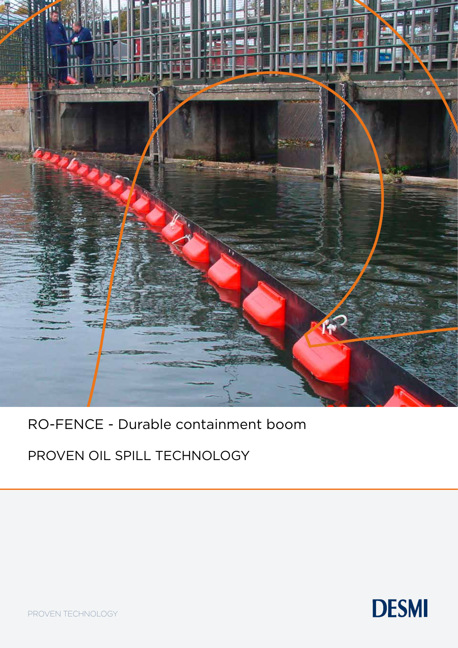

## RO-FENCE - Durable containment boom

PROVEN OIL SPILL TECHNOLOGY